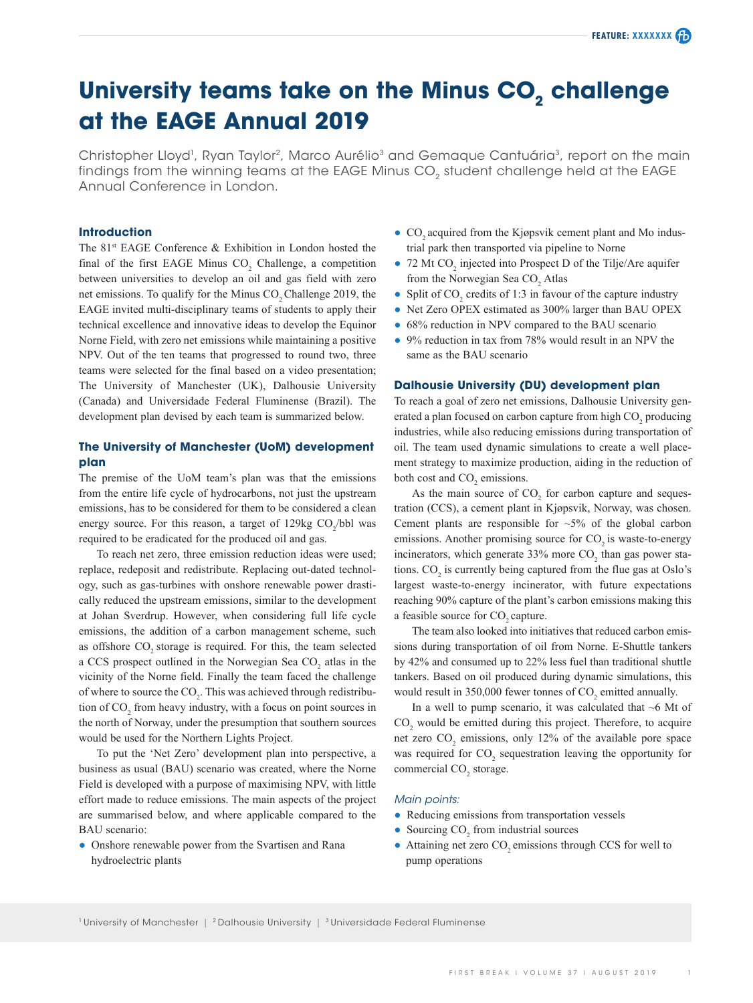# **University teams take on the Minus CO<sub>2</sub> challenge at the EAGE Annual 2019**

Christopher Lloyd<sup>1</sup>, Ryan Taylor<sup>2</sup>, Marco Aurélio<sup>3</sup> and Gemaque Cantuária<sup>3</sup>, report on the main findings from the winning teams at the EAGE Minus CO<sub>2</sub> student challenge held at the EAGE Annual Conference in London.

# **Introduction**

The 81<sup>st</sup> EAGE Conference & Exhibition in London hosted the final of the first EAGE Minus  $CO<sub>2</sub>$  Challenge, a competition between universities to develop an oil and gas field with zero net emissions. To qualify for the Minus CO<sub>2</sub> Challenge 2019, the EAGE invited multi-disciplinary teams of students to apply their technical excellence and innovative ideas to develop the Equinor Norne Field, with zero net emissions while maintaining a positive NPV. Out of the ten teams that progressed to round two, three teams were selected for the final based on a video presentation; The University of Manchester (UK), Dalhousie University (Canada) and Universidade Federal Fluminense (Brazil). The development plan devised by each team is summarized below.

# **The University of Manchester (UoM) development plan**

The premise of the UoM team's plan was that the emissions from the entire life cycle of hydrocarbons, not just the upstream emissions, has to be considered for them to be considered a clean energy source. For this reason, a target of  $129 \text{kg CO}_2/\text{bb}$  was required to be eradicated for the produced oil and gas.

To reach net zero, three emission reduction ideas were used; replace, redeposit and redistribute. Replacing out-dated technology, such as gas-turbines with onshore renewable power drastically reduced the upstream emissions, similar to the development at Johan Sverdrup. However, when considering full life cycle emissions, the addition of a carbon management scheme, such as offshore CO<sub>2</sub> storage is required. For this, the team selected a CCS prospect outlined in the Norwegian Sea  $CO<sub>2</sub>$  atlas in the vicinity of the Norne field. Finally the team faced the challenge of where to source the  $CO<sub>2</sub>$ . This was achieved through redistribution of  $CO_2$  from heavy industry, with a focus on point sources in the north of Norway, under the presumption that southern sources would be used for the Northern Lights Project.

To put the 'Net Zero' development plan into perspective, a business as usual (BAU) scenario was created, where the Norne Field is developed with a purpose of maximising NPV, with little effort made to reduce emissions. The main aspects of the project are summarised below, and where applicable compared to the BAU scenario:

● Onshore renewable power from the Svartisen and Rana hydroelectric plants

- CO<sub>2</sub> acquired from the Kjøpsvik cement plant and Mo industrial park then transported via pipeline to Norne
- 72 Mt  $CO_2$  injected into Prospect D of the Tilje/Are aquifer from the Norwegian Sea  $CO<sub>2</sub>$  Atlas
- Split of  $CO_2$  credits of 1:3 in favour of the capture industry
- Net Zero OPEX estimated as 300% larger than BAU OPEX
- 68% reduction in NPV compared to the BAU scenario
- 9% reduction in tax from 78% would result in an NPV the same as the BAU scenario

# **Dalhousie University (DU) development plan**

To reach a goal of zero net emissions, Dalhousie University generated a plan focused on carbon capture from high  $CO<sub>2</sub>$  producing industries, while also reducing emissions during transportation of oil. The team used dynamic simulations to create a well placement strategy to maximize production, aiding in the reduction of both cost and  $CO<sub>2</sub>$  emissions.

As the main source of  $CO<sub>2</sub>$  for carbon capture and sequestration (CCS), a cement plant in Kjøpsvik, Norway, was chosen. Cement plants are responsible for  $\sim$ 5% of the global carbon emissions. Another promising source for CO<sub>2</sub> is waste-to-energy incinerators, which generate  $33\%$  more  $CO<sub>2</sub>$  than gas power stations.  $CO_2$  is currently being captured from the flue gas at Oslo's largest waste-to-energy incinerator, with future expectations reaching 90% capture of the plant's carbon emissions making this a feasible source for CO<sub>2</sub> capture.

The team also looked into initiatives that reduced carbon emissions during transportation of oil from Norne. E-Shuttle tankers by 42% and consumed up to 22% less fuel than traditional shuttle tankers. Based on oil produced during dynamic simulations, this would result in 350,000 fewer tonnes of  $CO<sub>2</sub>$  emitted annually.

In a well to pump scenario, it was calculated that  $~6$  Mt of  $CO<sub>2</sub>$  would be emitted during this project. Therefore, to acquire net zero  $CO_2$  emissions, only 12% of the available pore space was required for  $CO_2$  sequestration leaving the opportunity for commercial CO<sub>2</sub> storage.

#### *Main points:*

- Reducing emissions from transportation vessels
- Sourcing  $CO<sub>2</sub>$  from industrial sources
- $\bullet$  Attaining net zero CO<sub>2</sub> emissions through CCS for well to pump operations

<sup>1</sup> University of Manchester | <sup>2</sup> Dalhousie University | <sup>3</sup> Universidade Federal Fluminense